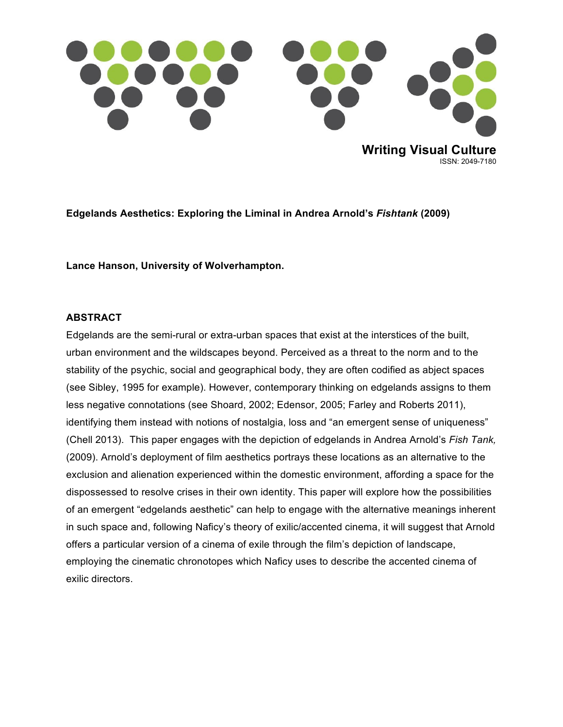

**Edgelands Aesthetics: Exploring the Liminal in Andrea Arnold's** *Fishtank* **(2009)**

**Lance Hanson, University of Wolverhampton.**

#### **ABSTRACT**

Edgelands are the semi-rural or extra-urban spaces that exist at the interstices of the built, urban environment and the wildscapes beyond. Perceived as a threat to the norm and to the stability of the psychic, social and geographical body, they are often codified as abject spaces (see Sibley, 1995 for example). However, contemporary thinking on edgelands assigns to them less negative connotations (see Shoard, 2002; Edensor, 2005; Farley and Roberts 2011), identifying them instead with notions of nostalgia, loss and "an emergent sense of uniqueness" (Chell 2013). This paper engages with the depiction of edgelands in Andrea Arnold's *Fish Tank,*  (2009). Arnold's deployment of film aesthetics portrays these locations as an alternative to the exclusion and alienation experienced within the domestic environment, affording a space for the dispossessed to resolve crises in their own identity. This paper will explore how the possibilities of an emergent "edgelands aesthetic" can help to engage with the alternative meanings inherent in such space and, following Naficy's theory of exilic/accented cinema, it will suggest that Arnold offers a particular version of a cinema of exile through the film's depiction of landscape, employing the cinematic chronotopes which Naficy uses to describe the accented cinema of exilic directors.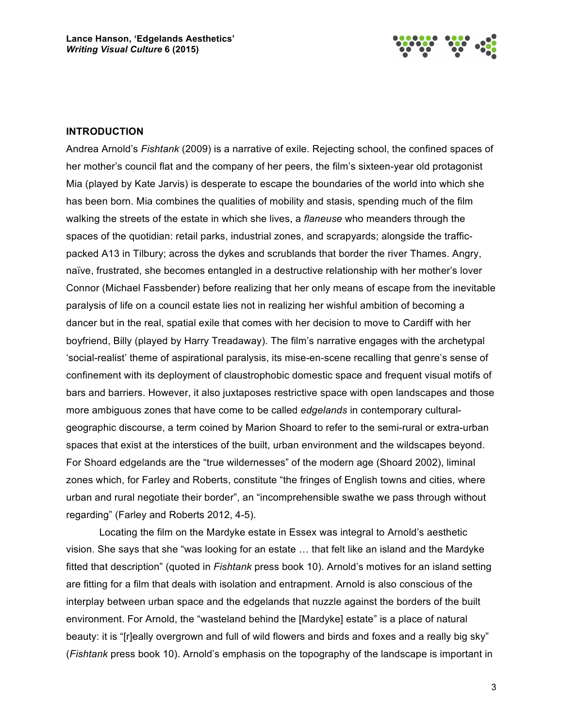

#### **INTRODUCTION**

Andrea Arnold's *Fishtank* (2009) is a narrative of exile. Rejecting school, the confined spaces of her mother's council flat and the company of her peers, the film's sixteen-year old protagonist Mia (played by Kate Jarvis) is desperate to escape the boundaries of the world into which she has been born. Mia combines the qualities of mobility and stasis, spending much of the film walking the streets of the estate in which she lives, a *flaneuse* who meanders through the spaces of the quotidian: retail parks, industrial zones, and scrapyards; alongside the trafficpacked A13 in Tilbury; across the dykes and scrublands that border the river Thames. Angry, naïve, frustrated, she becomes entangled in a destructive relationship with her mother's lover Connor (Michael Fassbender) before realizing that her only means of escape from the inevitable paralysis of life on a council estate lies not in realizing her wishful ambition of becoming a dancer but in the real, spatial exile that comes with her decision to move to Cardiff with her boyfriend, Billy (played by Harry Treadaway). The film's narrative engages with the archetypal 'social-realist' theme of aspirational paralysis, its mise-en-scene recalling that genre's sense of confinement with its deployment of claustrophobic domestic space and frequent visual motifs of bars and barriers. However, it also juxtaposes restrictive space with open landscapes and those more ambiguous zones that have come to be called *edgelands* in contemporary culturalgeographic discourse, a term coined by Marion Shoard to refer to the semi-rural or extra-urban spaces that exist at the interstices of the built, urban environment and the wildscapes beyond. For Shoard edgelands are the "true wildernesses" of the modern age (Shoard 2002), liminal zones which, for Farley and Roberts, constitute "the fringes of English towns and cities, where urban and rural negotiate their border", an "incomprehensible swathe we pass through without regarding" (Farley and Roberts 2012, 4-5).

Locating the film on the Mardyke estate in Essex was integral to Arnold's aesthetic vision. She says that she "was looking for an estate … that felt like an island and the Mardyke fitted that description" (quoted in *Fishtank* press book 10). Arnold's motives for an island setting are fitting for a film that deals with isolation and entrapment. Arnold is also conscious of the interplay between urban space and the edgelands that nuzzle against the borders of the built environment. For Arnold, the "wasteland behind the [Mardyke] estate" is a place of natural beauty: it is "[r]eally overgrown and full of wild flowers and birds and foxes and a really big sky" (*Fishtank* press book 10). Arnold's emphasis on the topography of the landscape is important in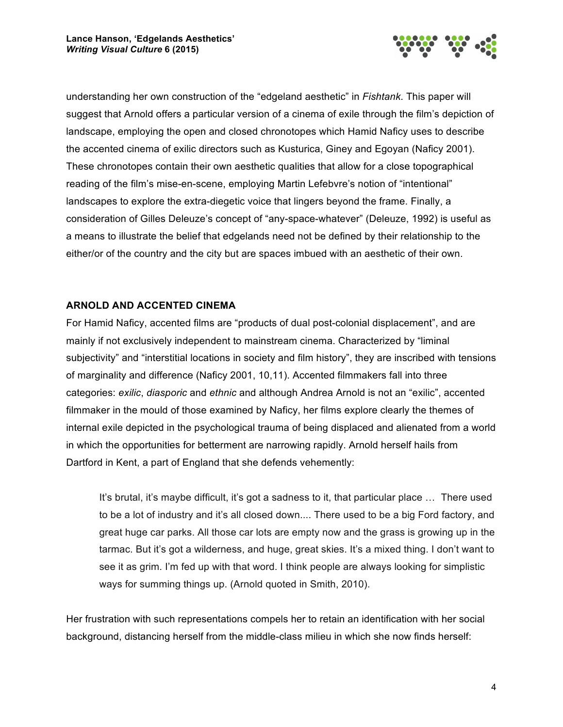

understanding her own construction of the "edgeland aesthetic" in *Fishtank*. This paper will suggest that Arnold offers a particular version of a cinema of exile through the film's depiction of landscape, employing the open and closed chronotopes which Hamid Naficy uses to describe the accented cinema of exilic directors such as Kusturica, Giney and Egoyan (Naficy 2001). These chronotopes contain their own aesthetic qualities that allow for a close topographical reading of the film's mise-en-scene, employing Martin Lefebvre's notion of "intentional" landscapes to explore the extra-diegetic voice that lingers beyond the frame. Finally, a consideration of Gilles Deleuze's concept of "any-space-whatever" (Deleuze, 1992) is useful as a means to illustrate the belief that edgelands need not be defined by their relationship to the either/or of the country and the city but are spaces imbued with an aesthetic of their own.

# **ARNOLD AND ACCENTED CINEMA**

For Hamid Naficy, accented films are "products of dual post-colonial displacement", and are mainly if not exclusively independent to mainstream cinema. Characterized by "liminal subjectivity" and "interstitial locations in society and film history", they are inscribed with tensions of marginality and difference (Naficy 2001, 10,11). Accented filmmakers fall into three categories: *exilic*, *diasporic* and *ethnic* and although Andrea Arnold is not an "exilic", accented filmmaker in the mould of those examined by Naficy, her films explore clearly the themes of internal exile depicted in the psychological trauma of being displaced and alienated from a world in which the opportunities for betterment are narrowing rapidly. Arnold herself hails from Dartford in Kent, a part of England that she defends vehemently:

It's brutal, it's maybe difficult, it's got a sadness to it, that particular place … There used to be a lot of industry and it's all closed down.... There used to be a big Ford factory, and great huge car parks. All those car lots are empty now and the grass is growing up in the tarmac. But it's got a wilderness, and huge, great skies. It's a mixed thing. I don't want to see it as grim. I'm fed up with that word. I think people are always looking for simplistic ways for summing things up. (Arnold quoted in Smith, 2010).

Her frustration with such representations compels her to retain an identification with her social background, distancing herself from the middle-class milieu in which she now finds herself: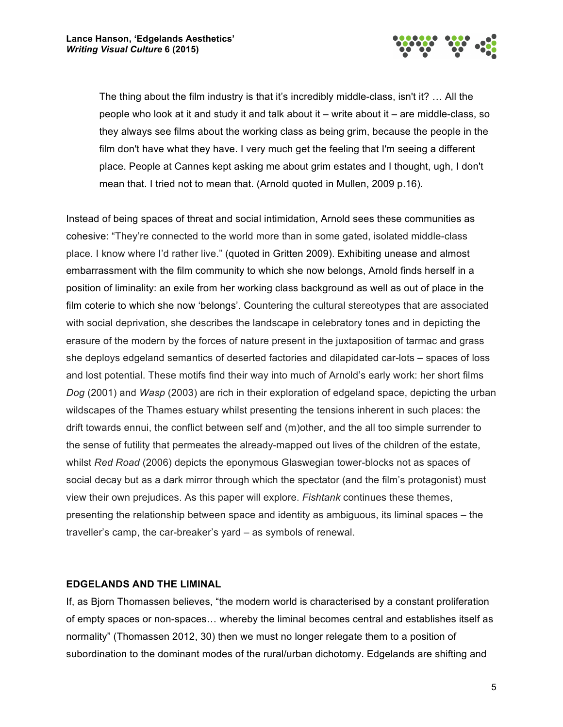

The thing about the film industry is that it's incredibly middle-class, isn't it? … All the people who look at it and study it and talk about it – write about it – are middle-class, so they always see films about the working class as being grim, because the people in the film don't have what they have. I very much get the feeling that I'm seeing a different place. People at Cannes kept asking me about grim estates and I thought, ugh, I don't mean that. I tried not to mean that. (Arnold quoted in Mullen, 2009 p.16).

Instead of being spaces of threat and social intimidation, Arnold sees these communities as cohesive: "They're connected to the world more than in some gated, isolated middle-class place. I know where I'd rather live." (quoted in Gritten 2009). Exhibiting unease and almost embarrassment with the film community to which she now belongs, Arnold finds herself in a position of liminality: an exile from her working class background as well as out of place in the film coterie to which she now 'belongs'. Countering the cultural stereotypes that are associated with social deprivation, she describes the landscape in celebratory tones and in depicting the erasure of the modern by the forces of nature present in the juxtaposition of tarmac and grass she deploys edgeland semantics of deserted factories and dilapidated car-lots – spaces of loss and lost potential. These motifs find their way into much of Arnold's early work: her short films *Dog* (2001) and *Wasp* (2003) are rich in their exploration of edgeland space, depicting the urban wildscapes of the Thames estuary whilst presenting the tensions inherent in such places: the drift towards ennui, the conflict between self and (m)other, and the all too simple surrender to the sense of futility that permeates the already-mapped out lives of the children of the estate, whilst *Red Road* (2006) depicts the eponymous Glaswegian tower-blocks not as spaces of social decay but as a dark mirror through which the spectator (and the film's protagonist) must view their own prejudices. As this paper will explore. *Fishtank* continues these themes, presenting the relationship between space and identity as ambiguous, its liminal spaces – the traveller's camp, the car-breaker's yard – as symbols of renewal.

### **EDGELANDS AND THE LIMINAL**

If, as Bjorn Thomassen believes, "the modern world is characterised by a constant proliferation of empty spaces or non-spaces… whereby the liminal becomes central and establishes itself as normality" (Thomassen 2012, 30) then we must no longer relegate them to a position of subordination to the dominant modes of the rural/urban dichotomy. Edgelands are shifting and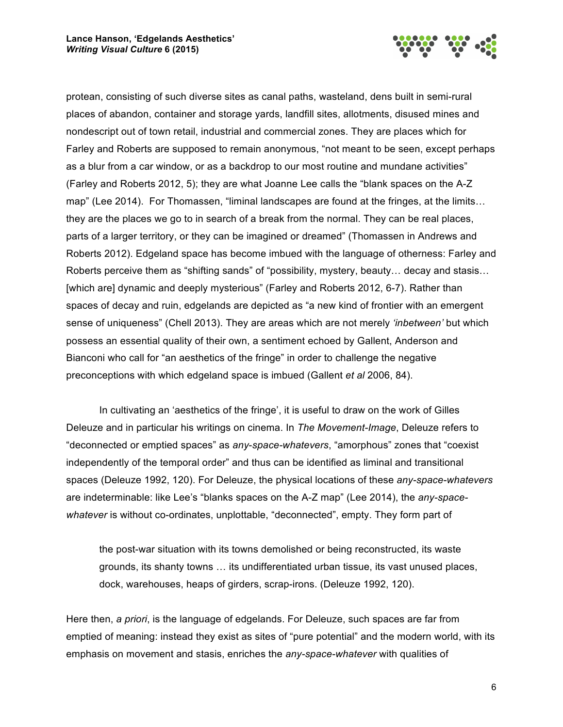

protean, consisting of such diverse sites as canal paths, wasteland, dens built in semi-rural places of abandon, container and storage yards, landfill sites, allotments, disused mines and nondescript out of town retail, industrial and commercial zones. They are places which for Farley and Roberts are supposed to remain anonymous, "not meant to be seen, except perhaps as a blur from a car window, or as a backdrop to our most routine and mundane activities" (Farley and Roberts 2012, 5); they are what Joanne Lee calls the "blank spaces on the A-Z map" (Lee 2014). For Thomassen, "liminal landscapes are found at the fringes, at the limits… they are the places we go to in search of a break from the normal. They can be real places, parts of a larger territory, or they can be imagined or dreamed" (Thomassen in Andrews and Roberts 2012). Edgeland space has become imbued with the language of otherness: Farley and Roberts perceive them as "shifting sands" of "possibility, mystery, beauty… decay and stasis… [which are] dynamic and deeply mysterious" (Farley and Roberts 2012, 6-7). Rather than spaces of decay and ruin, edgelands are depicted as "a new kind of frontier with an emergent sense of uniqueness" (Chell 2013). They are areas which are not merely *'inbetween'* but which possess an essential quality of their own, a sentiment echoed by Gallent, Anderson and Bianconi who call for "an aesthetics of the fringe" in order to challenge the negative preconceptions with which edgeland space is imbued (Gallent *et al* 2006, 84).

In cultivating an 'aesthetics of the fringe', it is useful to draw on the work of Gilles Deleuze and in particular his writings on cinema. In *The Movement-Image*, Deleuze refers to "deconnected or emptied spaces" as *any*-*space-whatevers*, "amorphous" zones that "coexist independently of the temporal order" and thus can be identified as liminal and transitional spaces (Deleuze 1992, 120). For Deleuze, the physical locations of these *any-space-whatevers* are indeterminable: like Lee's "blanks spaces on the A-Z map" (Lee 2014), the *any-spacewhatever* is without co-ordinates, unplottable, "deconnected", empty. They form part of

the post-war situation with its towns demolished or being reconstructed, its waste grounds, its shanty towns … its undifferentiated urban tissue, its vast unused places, dock, warehouses, heaps of girders, scrap-irons. (Deleuze 1992, 120).

Here then, *a priori*, is the language of edgelands. For Deleuze, such spaces are far from emptied of meaning: instead they exist as sites of "pure potential" and the modern world, with its emphasis on movement and stasis, enriches the *any-space-whatever* with qualities of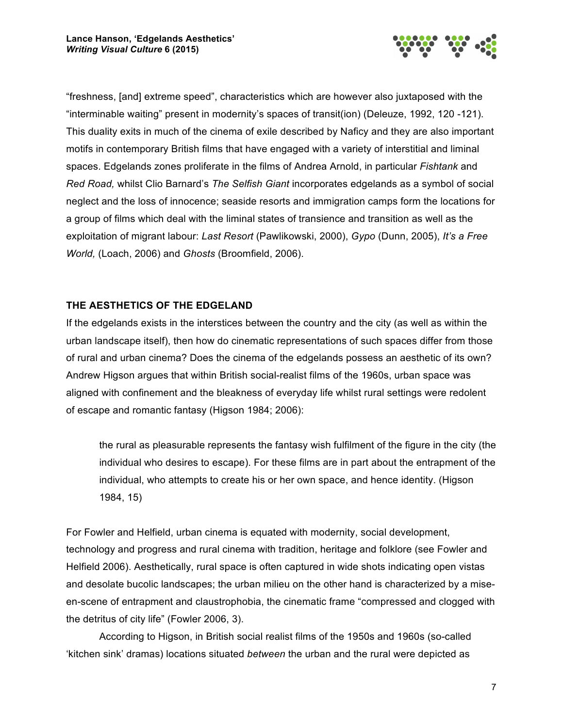

"freshness, [and] extreme speed", characteristics which are however also juxtaposed with the "interminable waiting" present in modernity's spaces of transit(ion) (Deleuze, 1992, 120 -121). This duality exits in much of the cinema of exile described by Naficy and they are also important motifs in contemporary British films that have engaged with a variety of interstitial and liminal spaces. Edgelands zones proliferate in the films of Andrea Arnold, in particular *Fishtank* and *Red Road,* whilst Clio Barnard's *The Selfish Giant* incorporates edgelands as a symbol of social neglect and the loss of innocence; seaside resorts and immigration camps form the locations for a group of films which deal with the liminal states of transience and transition as well as the exploitation of migrant labour: *Last Resort* (Pawlikowski, 2000), *Gypo* (Dunn, 2005), *It's a Free World,* (Loach, 2006) and *Ghosts* (Broomfield, 2006).

# **THE AESTHETICS OF THE EDGELAND**

If the edgelands exists in the interstices between the country and the city (as well as within the urban landscape itself), then how do cinematic representations of such spaces differ from those of rural and urban cinema? Does the cinema of the edgelands possess an aesthetic of its own? Andrew Higson argues that within British social-realist films of the 1960s, urban space was aligned with confinement and the bleakness of everyday life whilst rural settings were redolent of escape and romantic fantasy (Higson 1984; 2006):

the rural as pleasurable represents the fantasy wish fulfilment of the figure in the city (the individual who desires to escape). For these films are in part about the entrapment of the individual, who attempts to create his or her own space, and hence identity. (Higson 1984, 15)

For Fowler and Helfield, urban cinema is equated with modernity, social development, technology and progress and rural cinema with tradition, heritage and folklore (see Fowler and Helfield 2006). Aesthetically, rural space is often captured in wide shots indicating open vistas and desolate bucolic landscapes; the urban milieu on the other hand is characterized by a miseen-scene of entrapment and claustrophobia, the cinematic frame "compressed and clogged with the detritus of city life" (Fowler 2006, 3).

According to Higson, in British social realist films of the 1950s and 1960s (so-called 'kitchen sink' dramas) locations situated *between* the urban and the rural were depicted as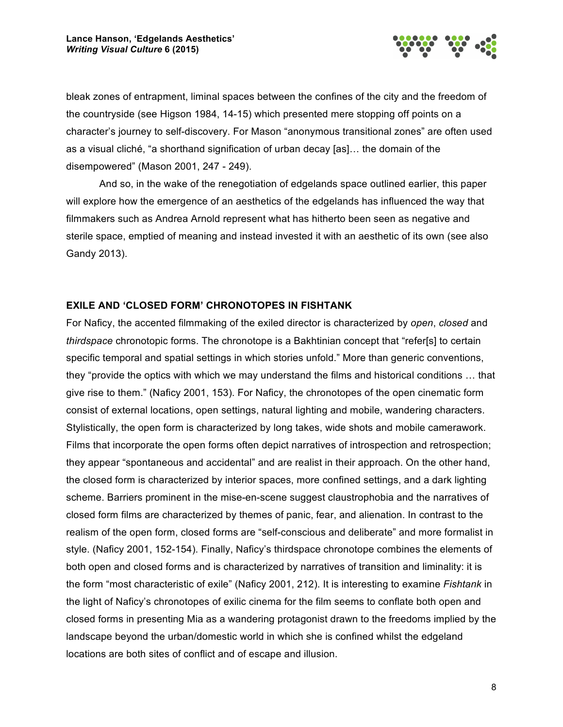

bleak zones of entrapment, liminal spaces between the confines of the city and the freedom of the countryside (see Higson 1984, 14-15) which presented mere stopping off points on a character's journey to self-discovery. For Mason "anonymous transitional zones" are often used as a visual cliché, "a shorthand signification of urban decay [as]… the domain of the disempowered" (Mason 2001, 247 - 249).

And so, in the wake of the renegotiation of edgelands space outlined earlier, this paper will explore how the emergence of an aesthetics of the edgelands has influenced the way that filmmakers such as Andrea Arnold represent what has hitherto been seen as negative and sterile space, emptied of meaning and instead invested it with an aesthetic of its own (see also Gandy 2013).

# **EXILE AND 'CLOSED FORM' CHRONOTOPES IN FISHTANK**

For Naficy, the accented filmmaking of the exiled director is characterized by *open*, *closed* and *thirdspace* chronotopic forms. The chronotope is a Bakhtinian concept that "refer[s] to certain specific temporal and spatial settings in which stories unfold." More than generic conventions, they "provide the optics with which we may understand the films and historical conditions … that give rise to them." (Naficy 2001, 153). For Naficy, the chronotopes of the open cinematic form consist of external locations, open settings, natural lighting and mobile, wandering characters. Stylistically, the open form is characterized by long takes, wide shots and mobile camerawork. Films that incorporate the open forms often depict narratives of introspection and retrospection; they appear "spontaneous and accidental" and are realist in their approach. On the other hand, the closed form is characterized by interior spaces, more confined settings, and a dark lighting scheme. Barriers prominent in the mise-en-scene suggest claustrophobia and the narratives of closed form films are characterized by themes of panic, fear, and alienation. In contrast to the realism of the open form, closed forms are "self-conscious and deliberate" and more formalist in style. (Naficy 2001, 152-154). Finally, Naficy's thirdspace chronotope combines the elements of both open and closed forms and is characterized by narratives of transition and liminality: it is the form "most characteristic of exile" (Naficy 2001, 212). It is interesting to examine *Fishtank* in the light of Naficy's chronotopes of exilic cinema for the film seems to conflate both open and closed forms in presenting Mia as a wandering protagonist drawn to the freedoms implied by the landscape beyond the urban/domestic world in which she is confined whilst the edgeland locations are both sites of conflict and of escape and illusion.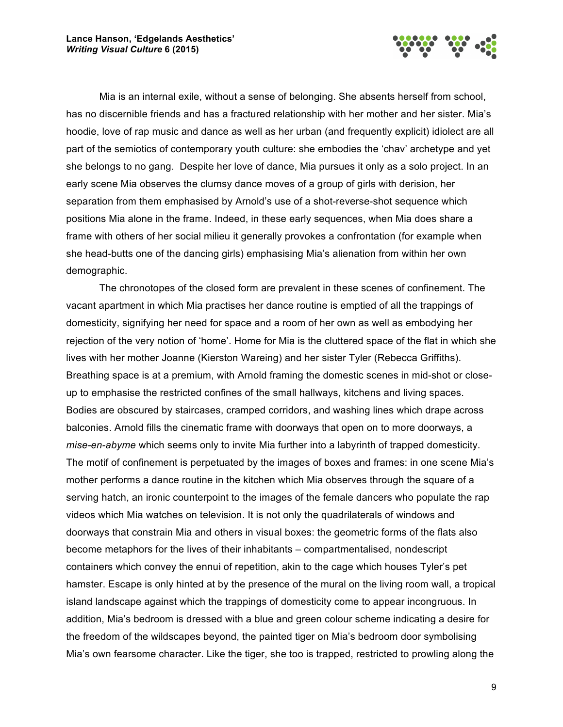

Mia is an internal exile, without a sense of belonging. She absents herself from school, has no discernible friends and has a fractured relationship with her mother and her sister. Mia's hoodie, love of rap music and dance as well as her urban (and frequently explicit) idiolect are all part of the semiotics of contemporary youth culture: she embodies the 'chav' archetype and yet she belongs to no gang. Despite her love of dance, Mia pursues it only as a solo project. In an early scene Mia observes the clumsy dance moves of a group of girls with derision, her separation from them emphasised by Arnold's use of a shot-reverse-shot sequence which positions Mia alone in the frame. Indeed, in these early sequences, when Mia does share a frame with others of her social milieu it generally provokes a confrontation (for example when she head-butts one of the dancing girls) emphasising Mia's alienation from within her own demographic.

The chronotopes of the closed form are prevalent in these scenes of confinement. The vacant apartment in which Mia practises her dance routine is emptied of all the trappings of domesticity, signifying her need for space and a room of her own as well as embodying her rejection of the very notion of 'home'. Home for Mia is the cluttered space of the flat in which she lives with her mother Joanne (Kierston Wareing) and her sister Tyler (Rebecca Griffiths). Breathing space is at a premium, with Arnold framing the domestic scenes in mid-shot or closeup to emphasise the restricted confines of the small hallways, kitchens and living spaces. Bodies are obscured by staircases, cramped corridors, and washing lines which drape across balconies. Arnold fills the cinematic frame with doorways that open on to more doorways, a *mise-en-abyme* which seems only to invite Mia further into a labyrinth of trapped domesticity. The motif of confinement is perpetuated by the images of boxes and frames: in one scene Mia's mother performs a dance routine in the kitchen which Mia observes through the square of a serving hatch, an ironic counterpoint to the images of the female dancers who populate the rap videos which Mia watches on television. It is not only the quadrilaterals of windows and doorways that constrain Mia and others in visual boxes: the geometric forms of the flats also become metaphors for the lives of their inhabitants – compartmentalised, nondescript containers which convey the ennui of repetition, akin to the cage which houses Tyler's pet hamster. Escape is only hinted at by the presence of the mural on the living room wall, a tropical island landscape against which the trappings of domesticity come to appear incongruous. In addition, Mia's bedroom is dressed with a blue and green colour scheme indicating a desire for the freedom of the wildscapes beyond, the painted tiger on Mia's bedroom door symbolising Mia's own fearsome character. Like the tiger, she too is trapped, restricted to prowling along the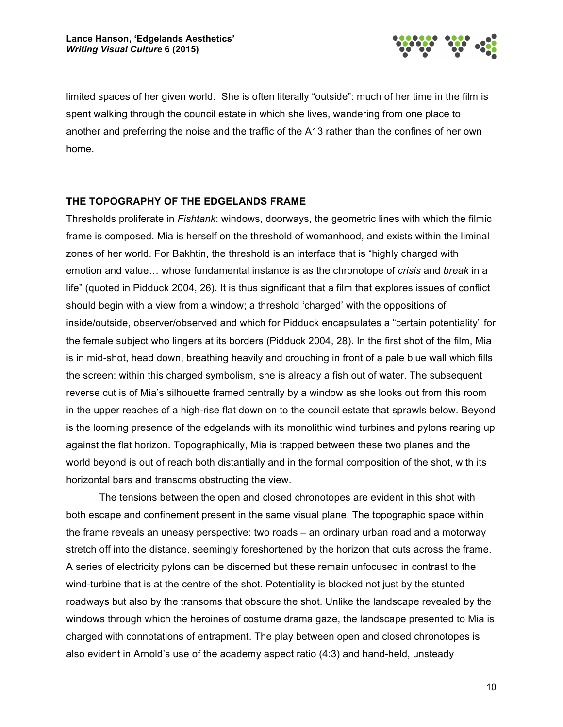

limited spaces of her given world. She is often literally "outside": much of her time in the film is spent walking through the council estate in which she lives, wandering from one place to another and preferring the noise and the traffic of the A13 rather than the confines of her own home.

#### **THE TOPOGRAPHY OF THE EDGELANDS FRAME**

Thresholds proliferate in *Fishtank*: windows, doorways, the geometric lines with which the filmic frame is composed. Mia is herself on the threshold of womanhood, and exists within the liminal zones of her world. For Bakhtin, the threshold is an interface that is "highly charged with emotion and value… whose fundamental instance is as the chronotope of *crisis* and *break* in a life" (quoted in Pidduck 2004, 26). It is thus significant that a film that explores issues of conflict should begin with a view from a window; a threshold 'charged' with the oppositions of inside/outside, observer/observed and which for Pidduck encapsulates a "certain potentiality" for the female subject who lingers at its borders (Pidduck 2004, 28). In the first shot of the film, Mia is in mid-shot, head down, breathing heavily and crouching in front of a pale blue wall which fills the screen: within this charged symbolism, she is already a fish out of water. The subsequent reverse cut is of Mia's silhouette framed centrally by a window as she looks out from this room in the upper reaches of a high-rise flat down on to the council estate that sprawls below. Beyond is the looming presence of the edgelands with its monolithic wind turbines and pylons rearing up against the flat horizon. Topographically, Mia is trapped between these two planes and the world beyond is out of reach both distantially and in the formal composition of the shot, with its horizontal bars and transoms obstructing the view.

The tensions between the open and closed chronotopes are evident in this shot with both escape and confinement present in the same visual plane. The topographic space within the frame reveals an uneasy perspective: two roads – an ordinary urban road and a motorway stretch off into the distance, seemingly foreshortened by the horizon that cuts across the frame. A series of electricity pylons can be discerned but these remain unfocused in contrast to the wind-turbine that is at the centre of the shot. Potentiality is blocked not just by the stunted roadways but also by the transoms that obscure the shot. Unlike the landscape revealed by the windows through which the heroines of costume drama gaze, the landscape presented to Mia is charged with connotations of entrapment. The play between open and closed chronotopes is also evident in Arnold's use of the academy aspect ratio (4:3) and hand-held, unsteady

10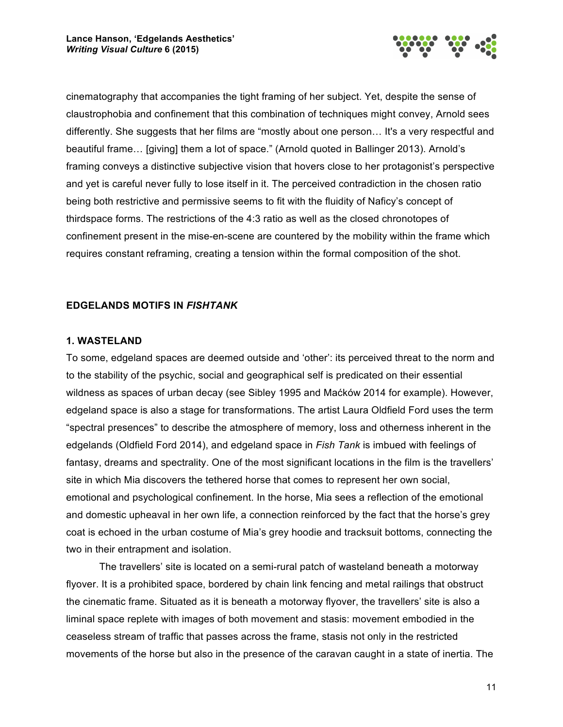

cinematography that accompanies the tight framing of her subject. Yet, despite the sense of claustrophobia and confinement that this combination of techniques might convey, Arnold sees differently. She suggests that her films are "mostly about one person… It's a very respectful and beautiful frame… [giving] them a lot of space." (Arnold quoted in Ballinger 2013). Arnold's framing conveys a distinctive subjective vision that hovers close to her protagonist's perspective and yet is careful never fully to lose itself in it. The perceived contradiction in the chosen ratio being both restrictive and permissive seems to fit with the fluidity of Naficy's concept of thirdspace forms. The restrictions of the 4:3 ratio as well as the closed chronotopes of confinement present in the mise-en-scene are countered by the mobility within the frame which requires constant reframing, creating a tension within the formal composition of the shot.

# **EDGELANDS MOTIFS IN** *FISHTANK*

### **1. WASTELAND**

To some, edgeland spaces are deemed outside and 'other': its perceived threat to the norm and to the stability of the psychic, social and geographical self is predicated on their essential wildness as spaces of urban decay (see Sibley 1995 and Maćków 2014 for example). However, edgeland space is also a stage for transformations. The artist Laura Oldfield Ford uses the term "spectral presences" to describe the atmosphere of memory, loss and otherness inherent in the edgelands (Oldfield Ford 2014), and edgeland space in *Fish Tank* is imbued with feelings of fantasy, dreams and spectrality. One of the most significant locations in the film is the travellers' site in which Mia discovers the tethered horse that comes to represent her own social, emotional and psychological confinement. In the horse, Mia sees a reflection of the emotional and domestic upheaval in her own life, a connection reinforced by the fact that the horse's grey coat is echoed in the urban costume of Mia's grey hoodie and tracksuit bottoms, connecting the two in their entrapment and isolation.

The travellers' site is located on a semi-rural patch of wasteland beneath a motorway flyover. It is a prohibited space, bordered by chain link fencing and metal railings that obstruct the cinematic frame. Situated as it is beneath a motorway flyover, the travellers' site is also a liminal space replete with images of both movement and stasis: movement embodied in the ceaseless stream of traffic that passes across the frame, stasis not only in the restricted movements of the horse but also in the presence of the caravan caught in a state of inertia. The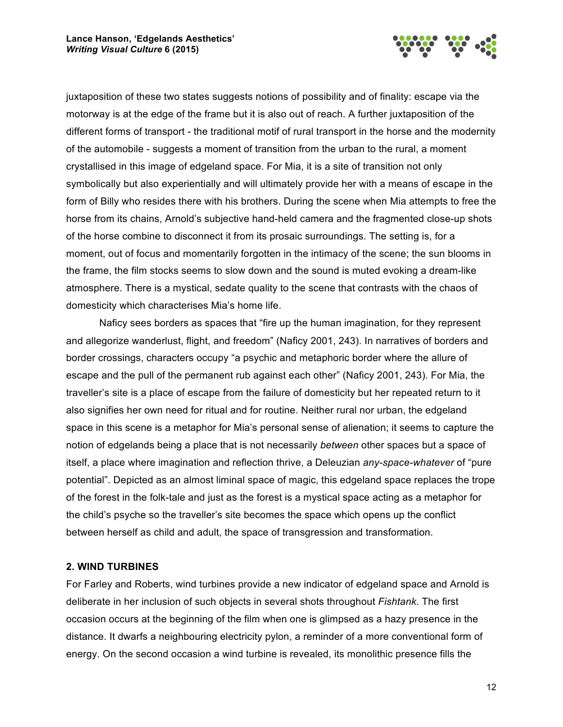

juxtaposition of these two states suggests notions of possibility and of finality: escape via the motorway is at the edge of the frame but it is also out of reach. A further juxtaposition of the different forms of transport - the traditional motif of rural transport in the horse and the modernity of the automobile - suggests a moment of transition from the urban to the rural, a moment crystallised in this image of edgeland space. For Mia, it is a site of transition not only symbolically but also experientially and will ultimately provide her with a means of escape in the form of Billy who resides there with his brothers. During the scene when Mia attempts to free the horse from its chains, Arnold's subjective hand-held camera and the fragmented close-up shots of the horse combine to disconnect it from its prosaic surroundings. The setting is, for a moment, out of focus and momentarily forgotten in the intimacy of the scene; the sun blooms in the frame, the film stocks seems to slow down and the sound is muted evoking a dream-like atmosphere. There is a mystical, sedate quality to the scene that contrasts with the chaos of domesticity which characterises Mia's home life.

Naficy sees borders as spaces that "fire up the human imagination, for they represent and allegorize wanderlust, flight, and freedom" (Naficy 2001, 243). In narratives of borders and border crossings, characters occupy "a psychic and metaphoric border where the allure of escape and the pull of the permanent rub against each other" (Naficy 2001, 243). For Mia, the traveller's site is a place of escape from the failure of domesticity but her repeated return to it also signifies her own need for ritual and for routine. Neither rural nor urban, the edgeland space in this scene is a metaphor for Mia's personal sense of alienation; it seems to capture the notion of edgelands being a place that is not necessarily *between* other spaces but a space of itself, a place where imagination and reflection thrive, a Deleuzian *any-space-whatever* of "pure potential". Depicted as an almost liminal space of magic, this edgeland space replaces the trope of the forest in the folk-tale and just as the forest is a mystical space acting as a metaphor for the child's psyche so the traveller's site becomes the space which opens up the conflict between herself as child and adult, the space of transgression and transformation.

### **2. WIND TURBINES**

For Farley and Roberts, wind turbines provide a new indicator of edgeland space and Arnold is deliberate in her inclusion of such objects in several shots throughout *Fishtank*. The first occasion occurs at the beginning of the film when one is glimpsed as a hazy presence in the distance. It dwarfs a neighbouring electricity pylon, a reminder of a more conventional form of energy. On the second occasion a wind turbine is revealed, its monolithic presence fills the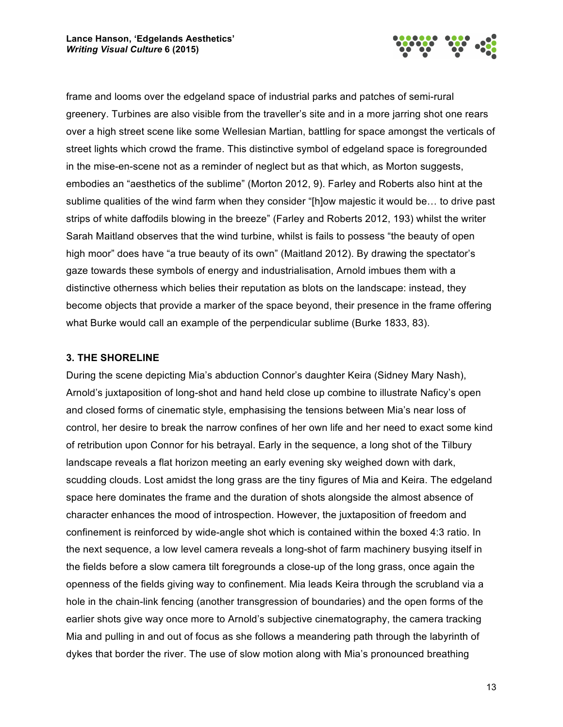

frame and looms over the edgeland space of industrial parks and patches of semi-rural greenery. Turbines are also visible from the traveller's site and in a more jarring shot one rears over a high street scene like some Wellesian Martian, battling for space amongst the verticals of street lights which crowd the frame. This distinctive symbol of edgeland space is foregrounded in the mise-en-scene not as a reminder of neglect but as that which, as Morton suggests, embodies an "aesthetics of the sublime" (Morton 2012, 9). Farley and Roberts also hint at the sublime qualities of the wind farm when they consider "[h]ow majestic it would be… to drive past strips of white daffodils blowing in the breeze" (Farley and Roberts 2012, 193) whilst the writer Sarah Maitland observes that the wind turbine, whilst is fails to possess "the beauty of open high moor" does have "a true beauty of its own" (Maitland 2012). By drawing the spectator's gaze towards these symbols of energy and industrialisation, Arnold imbues them with a distinctive otherness which belies their reputation as blots on the landscape: instead, they become objects that provide a marker of the space beyond, their presence in the frame offering what Burke would call an example of the perpendicular sublime (Burke 1833, 83).

# **3. THE SHORELINE**

During the scene depicting Mia's abduction Connor's daughter Keira (Sidney Mary Nash), Arnold's juxtaposition of long-shot and hand held close up combine to illustrate Naficy's open and closed forms of cinematic style, emphasising the tensions between Mia's near loss of control, her desire to break the narrow confines of her own life and her need to exact some kind of retribution upon Connor for his betrayal. Early in the sequence, a long shot of the Tilbury landscape reveals a flat horizon meeting an early evening sky weighed down with dark, scudding clouds. Lost amidst the long grass are the tiny figures of Mia and Keira. The edgeland space here dominates the frame and the duration of shots alongside the almost absence of character enhances the mood of introspection. However, the juxtaposition of freedom and confinement is reinforced by wide-angle shot which is contained within the boxed 4:3 ratio. In the next sequence, a low level camera reveals a long-shot of farm machinery busying itself in the fields before a slow camera tilt foregrounds a close-up of the long grass, once again the openness of the fields giving way to confinement. Mia leads Keira through the scrubland via a hole in the chain-link fencing (another transgression of boundaries) and the open forms of the earlier shots give way once more to Arnold's subjective cinematography, the camera tracking Mia and pulling in and out of focus as she follows a meandering path through the labyrinth of dykes that border the river. The use of slow motion along with Mia's pronounced breathing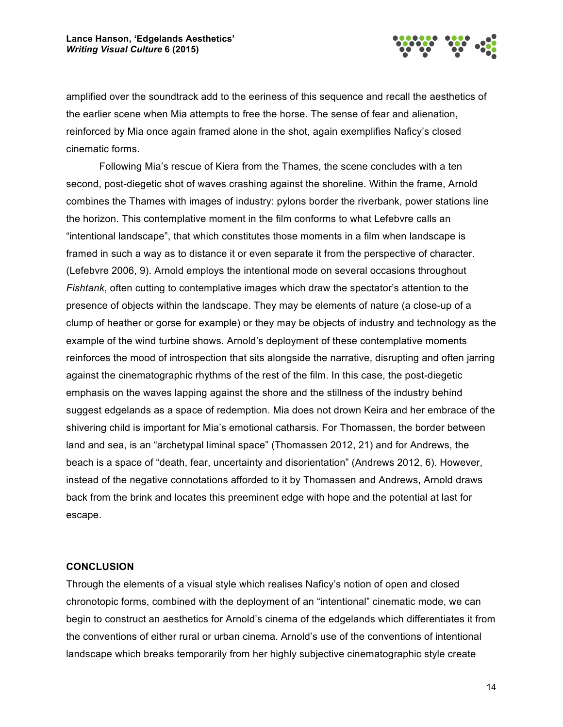

amplified over the soundtrack add to the eeriness of this sequence and recall the aesthetics of the earlier scene when Mia attempts to free the horse. The sense of fear and alienation, reinforced by Mia once again framed alone in the shot, again exemplifies Naficy's closed cinematic forms.

Following Mia's rescue of Kiera from the Thames, the scene concludes with a ten second, post-diegetic shot of waves crashing against the shoreline. Within the frame, Arnold combines the Thames with images of industry: pylons border the riverbank, power stations line the horizon. This contemplative moment in the film conforms to what Lefebvre calls an "intentional landscape", that which constitutes those moments in a film when landscape is framed in such a way as to distance it or even separate it from the perspective of character. (Lefebvre 2006, 9). Arnold employs the intentional mode on several occasions throughout *Fishtank*, often cutting to contemplative images which draw the spectator's attention to the presence of objects within the landscape. They may be elements of nature (a close-up of a clump of heather or gorse for example) or they may be objects of industry and technology as the example of the wind turbine shows. Arnold's deployment of these contemplative moments reinforces the mood of introspection that sits alongside the narrative, disrupting and often jarring against the cinematographic rhythms of the rest of the film. In this case, the post-diegetic emphasis on the waves lapping against the shore and the stillness of the industry behind suggest edgelands as a space of redemption. Mia does not drown Keira and her embrace of the shivering child is important for Mia's emotional catharsis. For Thomassen, the border between land and sea, is an "archetypal liminal space" (Thomassen 2012, 21) and for Andrews, the beach is a space of "death, fear, uncertainty and disorientation" (Andrews 2012, 6). However, instead of the negative connotations afforded to it by Thomassen and Andrews, Arnold draws back from the brink and locates this preeminent edge with hope and the potential at last for escape.

#### **CONCLUSION**

Through the elements of a visual style which realises Naficy's notion of open and closed chronotopic forms, combined with the deployment of an "intentional" cinematic mode, we can begin to construct an aesthetics for Arnold's cinema of the edgelands which differentiates it from the conventions of either rural or urban cinema. Arnold's use of the conventions of intentional landscape which breaks temporarily from her highly subjective cinematographic style create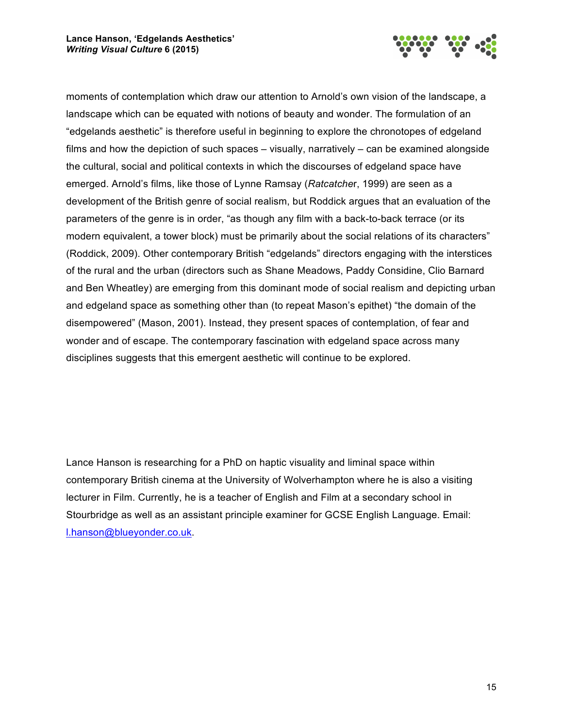

moments of contemplation which draw our attention to Arnold's own vision of the landscape, a landscape which can be equated with notions of beauty and wonder. The formulation of an "edgelands aesthetic" is therefore useful in beginning to explore the chronotopes of edgeland films and how the depiction of such spaces – visually, narratively – can be examined alongside the cultural, social and political contexts in which the discourses of edgeland space have emerged. Arnold's films, like those of Lynne Ramsay (*Ratcatche*r, 1999) are seen as a development of the British genre of social realism, but Roddick argues that an evaluation of the parameters of the genre is in order, "as though any film with a back-to-back terrace (or its modern equivalent, a tower block) must be primarily about the social relations of its characters" (Roddick, 2009). Other contemporary British "edgelands" directors engaging with the interstices of the rural and the urban (directors such as Shane Meadows, Paddy Considine, Clio Barnard and Ben Wheatley) are emerging from this dominant mode of social realism and depicting urban and edgeland space as something other than (to repeat Mason's epithet) "the domain of the disempowered" (Mason, 2001). Instead, they present spaces of contemplation, of fear and wonder and of escape. The contemporary fascination with edgeland space across many disciplines suggests that this emergent aesthetic will continue to be explored.

Lance Hanson is researching for a PhD on haptic visuality and liminal space within contemporary British cinema at the University of Wolverhampton where he is also a visiting lecturer in Film. Currently, he is a teacher of English and Film at a secondary school in Stourbridge as well as an assistant principle examiner for GCSE English Language. Email: l.hanson@blueyonder.co.uk.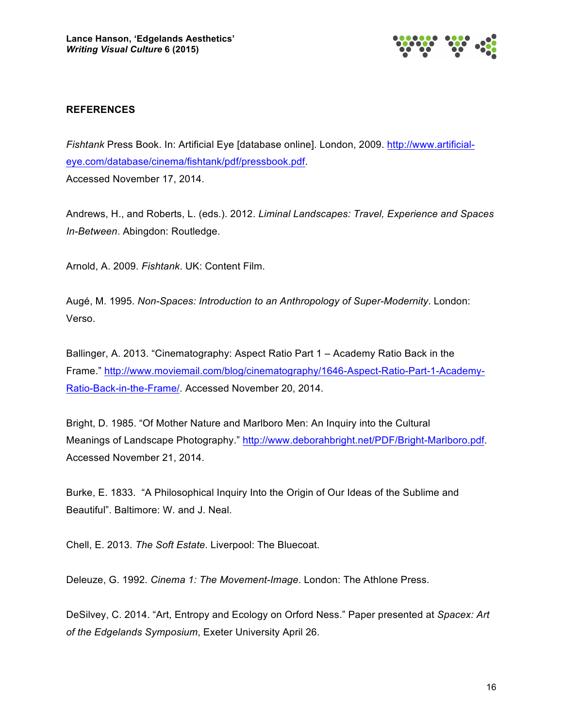

# **REFERENCES**

*Fishtank* Press Book. In: Artificial Eye [database online]. London, 2009. http://www.artificialeye.com/database/cinema/fishtank/pdf/pressbook.pdf. Accessed November 17, 2014.

Andrews, H., and Roberts, L. (eds.). 2012. *Liminal Landscapes: Travel, Experience and Spaces In-Between*. Abingdon: Routledge.

Arnold, A. 2009. *Fishtank*. UK: Content Film.

Augé, M. 1995. *Non-Spaces: Introduction to an Anthropology of Super-Modernity*. London: Verso.

Ballinger, A. 2013. "Cinematography: Aspect Ratio Part 1 – Academy Ratio Back in the Frame." http://www.moviemail.com/blog/cinematography/1646-Aspect-Ratio-Part-1-Academy-Ratio-Back-in-the-Frame/. Accessed November 20, 2014.

Bright, D. 1985. "Of Mother Nature and Marlboro Men: An Inquiry into the Cultural Meanings of Landscape Photography." http://www.deborahbright.net/PDF/Bright-Marlboro.pdf. Accessed November 21, 2014.

Burke, E. 1833. "A Philosophical Inquiry Into the Origin of Our Ideas of the Sublime and Beautiful". Baltimore: W. and J. Neal.

Chell, E. 2013. *The Soft Estate*. Liverpool: The Bluecoat.

Deleuze, G. 1992. *Cinema 1: The Movement-Image*. London: The Athlone Press.

DeSilvey, C. 2014. "Art, Entropy and Ecology on Orford Ness." Paper presented at *Spacex: Art of the Edgelands Symposium*, Exeter University April 26.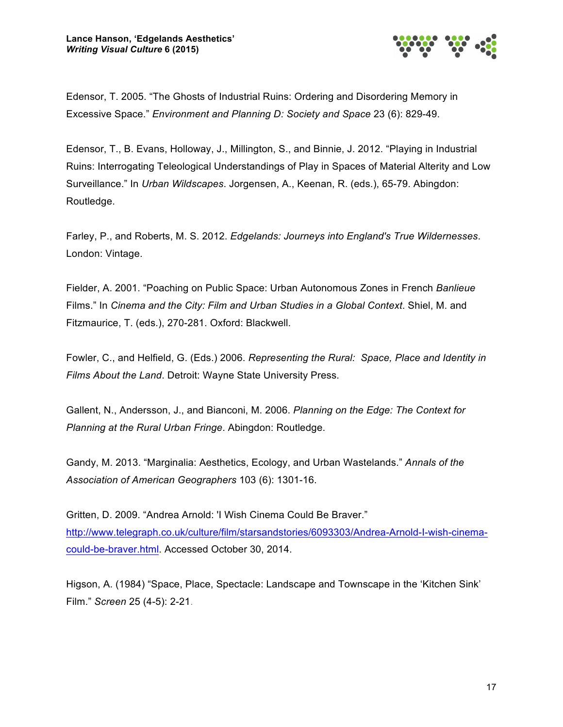

Edensor, T. 2005. "The Ghosts of Industrial Ruins: Ordering and Disordering Memory in Excessive Space." *Environment and Planning D: Society and Space* 23 (6): 829-49.

Edensor, T., B. Evans, Holloway, J., Millington, S., and Binnie, J. 2012. "Playing in Industrial Ruins: Interrogating Teleological Understandings of Play in Spaces of Material Alterity and Low Surveillance." In *Urban Wildscapes*. Jorgensen, A., Keenan, R. (eds.), 65-79. Abingdon: Routledge.

Farley, P., and Roberts, M. S. 2012. *Edgelands: Journeys into England's True Wildernesses*. London: Vintage.

Fielder, A. 2001. "Poaching on Public Space: Urban Autonomous Zones in French *Banlieue*  Films." In *Cinema and the City: Film and Urban Studies in a Global Context*. Shiel, M. and Fitzmaurice, T. (eds.), 270-281. Oxford: Blackwell.

Fowler, C., and Helfield, G. (Eds.) 2006. *Representing the Rural: Space, Place and Identity in Films About the Land*. Detroit: Wayne State University Press.

Gallent, N., Andersson, J., and Bianconi, M. 2006. *Planning on the Edge: The Context for Planning at the Rural Urban Fringe*. Abingdon: Routledge.

Gandy, M. 2013. "Marginalia: Aesthetics, Ecology, and Urban Wastelands." *Annals of the Association of American Geographers* 103 (6): 1301-16.

Gritten, D. 2009. "Andrea Arnold: 'I Wish Cinema Could Be Braver." http://www.telegraph.co.uk/culture/film/starsandstories/6093303/Andrea-Arnold-I-wish-cinemacould-be-braver.html. Accessed October 30, 2014.

Higson, A. (1984) "Space, Place, Spectacle: Landscape and Townscape in the 'Kitchen Sink' Film." *Screen* 25 (4-5): 2-21.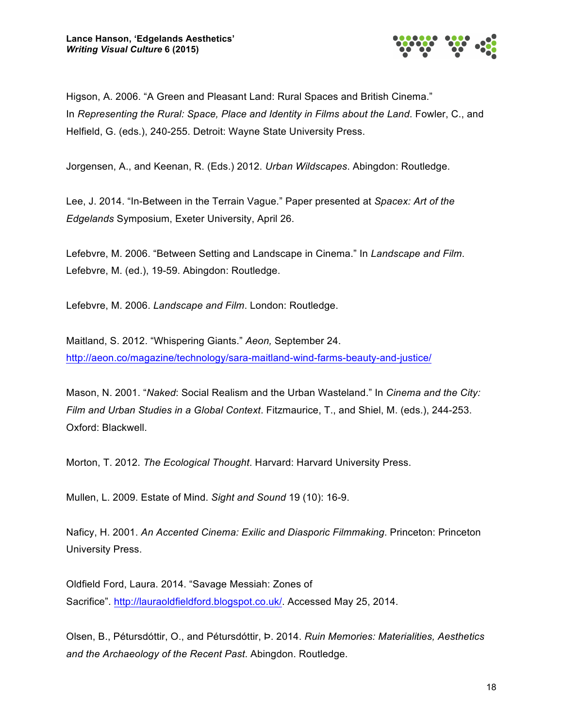

Higson, A. 2006. "A Green and Pleasant Land: Rural Spaces and British Cinema." In *Representing the Rural: Space, Place and Identity in Films about the Land*. Fowler, C., and Helfield, G. (eds.), 240-255. Detroit: Wayne State University Press.

Jorgensen, A., and Keenan, R. (Eds.) 2012. *Urban Wildscapes*. Abingdon: Routledge.

Lee, J. 2014. "In-Between in the Terrain Vague." Paper presented at *Spacex: Art of the Edgelands* Symposium, Exeter University, April 26.

Lefebvre, M. 2006. "Between Setting and Landscape in Cinema." In *Landscape and Film*. Lefebvre, M. (ed.), 19-59. Abingdon: Routledge.

Lefebvre, M. 2006. *Landscape and Film*. London: Routledge.

Maitland, S. 2012. "Whispering Giants." *Aeon,* September 24. http://aeon.co/magazine/technology/sara-maitland-wind-farms-beauty-and-justice/

Mason, N. 2001. "*Naked*: Social Realism and the Urban Wasteland." In *Cinema and the City: Film and Urban Studies in a Global Context*. Fitzmaurice, T., and Shiel, M. (eds.), 244-253. Oxford: Blackwell.

Morton, T. 2012. *The Ecological Thought*. Harvard: Harvard University Press.

Mullen, L. 2009. Estate of Mind. *Sight and Sound* 19 (10): 16-9.

Naficy, H. 2001. *An Accented Cinema: Exilic and Diasporic Filmmaking*. Princeton: Princeton University Press.

Oldfield Ford, Laura. 2014. "Savage Messiah: Zones of Sacrifice". http://lauraoldfieldford.blogspot.co.uk/. Accessed May 25, 2014.

Olsen, B., Pétursdóttir, O., and Pétursdóttir, Þ. 2014. *Ruin Memories: Materialities, Aesthetics and the Archaeology of the Recent Past*. Abingdon. Routledge.